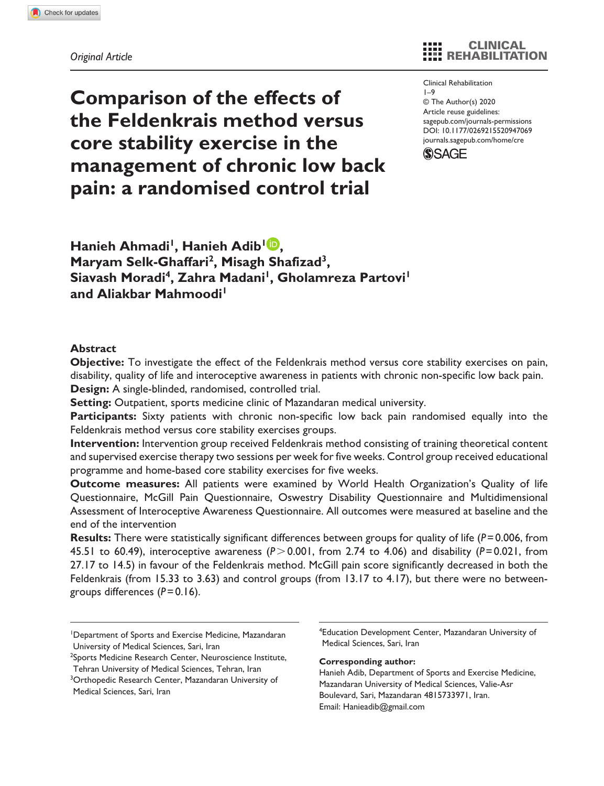# **Comparison of the effects of the Feldenkrais method versus core stability exercise in the management of chronic low back pain: a randomised control trial**

CLINICAL **EEE REHABILITATION** 

https://doi.org/10.1177/0269215520947069 DOI: 10.1177/0269215520947069 Clinical Rehabilitation  $1 - 9$ © The Author(s) 2020 Article reuse guidelines: [sagepub.com/journals-permissions](https://uk.sagepub.com/en-gb/journals-permissions) [journals.sagepub.com/home/cre](https://journals.sagepub.com/home/cre)



Hanieh Ahmadi<sup>1</sup>, Hanieh Adib<sup>1</sup><sup>1</sup>, **Maryam Selk-Ghaffari2, Misagh Shafizad3,**  Siavash Moradi<sup>4</sup>, Zahra Madani<sup>1</sup>, Gholamreza Partovi<sup>1</sup> and Aliakbar Mahmoodi<sup>1</sup>

#### **Abstract**

**Objective:** To investigate the effect of the Feldenkrais method versus core stability exercises on pain, disability, quality of life and interoceptive awareness in patients with chronic non-specific low back pain. **Design:** A single-blinded, randomised, controlled trial.

**Setting:** Outpatient, sports medicine clinic of Mazandaran medical university.

**Participants:** Sixty patients with chronic non-specific low back pain randomised equally into the Feldenkrais method versus core stability exercises groups.

**Intervention:** Intervention group received Feldenkrais method consisting of training theoretical content and supervised exercise therapy two sessions per week for five weeks. Control group received educational programme and home-based core stability exercises for five weeks.

**Outcome measures:** All patients were examined by World Health Organization's Quality of life Questionnaire, McGill Pain Questionnaire, Oswestry Disability Questionnaire and Multidimensional Assessment of Interoceptive Awareness Questionnaire. All outcomes were measured at baseline and the end of the intervention

**Results:** There were statistically significant differences between groups for quality of life (*P*=0.006, from 45.51 to 60.49), interoceptive awareness (*P*>0.001, from 2.74 to 4.06) and disability (*P*=0.021, from 27.17 to 14.5) in favour of the Feldenkrais method. McGill pain score significantly decreased in both the Feldenkrais (from 15.33 to 3.63) and control groups (from 13.17 to 4.17), but there were no betweengroups differences (*P*=0.16).

4 Education Development Center, Mazandaran University of Medical Sciences, Sari, Iran

#### **Corresponding author:**

Hanieh Adib, Department of Sports and Exercise Medicine, Mazandaran University of Medical Sciences, Valie-Asr Boulevard, Sari, Mazandaran 4815733971, Iran. Email: [Hanieadib@gmail.com](mailto:Hanieadib@gmail.com)

<sup>1</sup> Department of Sports and Exercise Medicine, Mazandaran University of Medical Sciences, Sari, Iran

<sup>&</sup>lt;sup>2</sup>Sports Medicine Research Center, Neuroscience Institute, Tehran University of Medical Sciences, Tehran, Iran

<sup>&</sup>lt;sup>3</sup>Orthopedic Research Center, Mazandaran University of Medical Sciences, Sari, Iran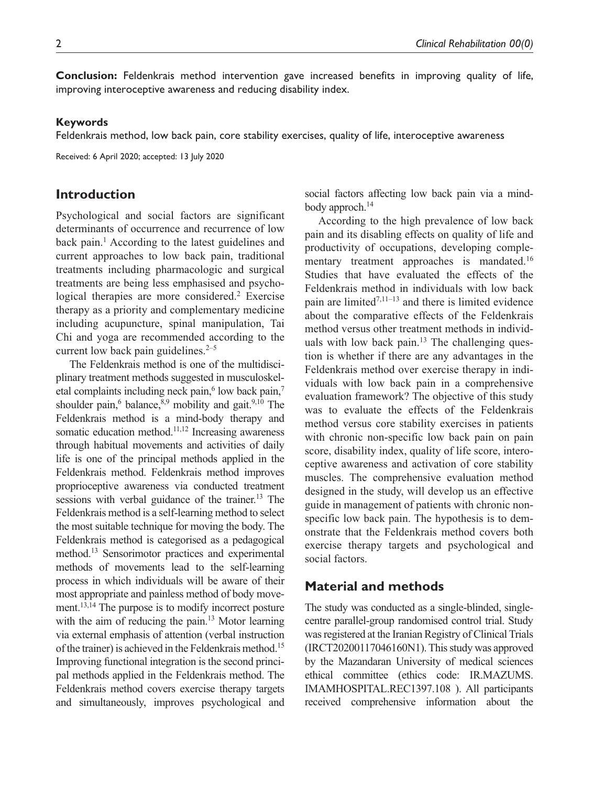**Conclusion:** Feldenkrais method intervention gave increased benefits in improving quality of life, improving interoceptive awareness and reducing disability index.

#### **Keywords**

Feldenkrais method, low back pain, core stability exercises, quality of life, interoceptive awareness

Received: 6 April 2020; accepted: 13 July 2020

# **Introduction**

Psychological and social factors are significant determinants of occurrence and recurrence of low back pain.<sup>1</sup> According to the latest guidelines and current approaches to low back pain, traditional treatments including pharmacologic and surgical treatments are being less emphasised and psychological therapies are more considered.<sup>2</sup> Exercise therapy as a priority and complementary medicine including acupuncture, spinal manipulation, Tai Chi and yoga are recommended according to the current low back pain guidelines. $2-5$ 

The Feldenkrais method is one of the multidisciplinary treatment methods suggested in musculoskeletal complaints including neck pain, $6$  low back pain, $7$ shoulder pain,<sup>6</sup> balance,  $8.9$  mobility and gait.  $9.10$  The Feldenkrais method is a mind-body therapy and somatic education method.<sup>11,12</sup> Increasing awareness through habitual movements and activities of daily life is one of the principal methods applied in the Feldenkrais method. Feldenkrais method improves proprioceptive awareness via conducted treatment sessions with verbal guidance of the trainer.<sup>13</sup> The Feldenkrais method is a self-learning method to select the most suitable technique for moving the body. The Feldenkrais method is categorised as a pedagogical method.13 Sensorimotor practices and experimental methods of movements lead to the self-learning process in which individuals will be aware of their most appropriate and painless method of body movement.<sup>13,14</sup> The purpose is to modify incorrect posture with the aim of reducing the pain. $13$  Motor learning via external emphasis of attention (verbal instruction of the trainer) is achieved in the Feldenkrais method.15 Improving functional integration is the second principal methods applied in the Feldenkrais method. The Feldenkrais method covers exercise therapy targets and simultaneously, improves psychological and

social factors affecting low back pain via a mindbody approch.<sup>14</sup>

According to the high prevalence of low back pain and its disabling effects on quality of life and productivity of occupations, developing complementary treatment approaches is mandated.16 Studies that have evaluated the effects of the Feldenkrais method in individuals with low back pain are limited $7,11-13$  and there is limited evidence about the comparative effects of the Feldenkrais method versus other treatment methods in individuals with low back pain. $13$  The challenging question is whether if there are any advantages in the Feldenkrais method over exercise therapy in individuals with low back pain in a comprehensive evaluation framework? The objective of this study was to evaluate the effects of the Feldenkrais method versus core stability exercises in patients with chronic non-specific low back pain on pain score, disability index, quality of life score, interoceptive awareness and activation of core stability muscles. The comprehensive evaluation method designed in the study, will develop us an effective guide in management of patients with chronic nonspecific low back pain. The hypothesis is to demonstrate that the Feldenkrais method covers both exercise therapy targets and psychological and social factors.

## **Material and methods**

The study was conducted as a single-blinded, singlecentre parallel-group randomised control trial. Study was registered at the Iranian Registry of Clinical Trials (IRCT20200117046160N1). This study was approved by the Mazandaran University of medical sciences ethical committee (ethics code: IR.MAZUMS. IMAMHOSPITAL.REC1397.108 ). All participants received comprehensive information about the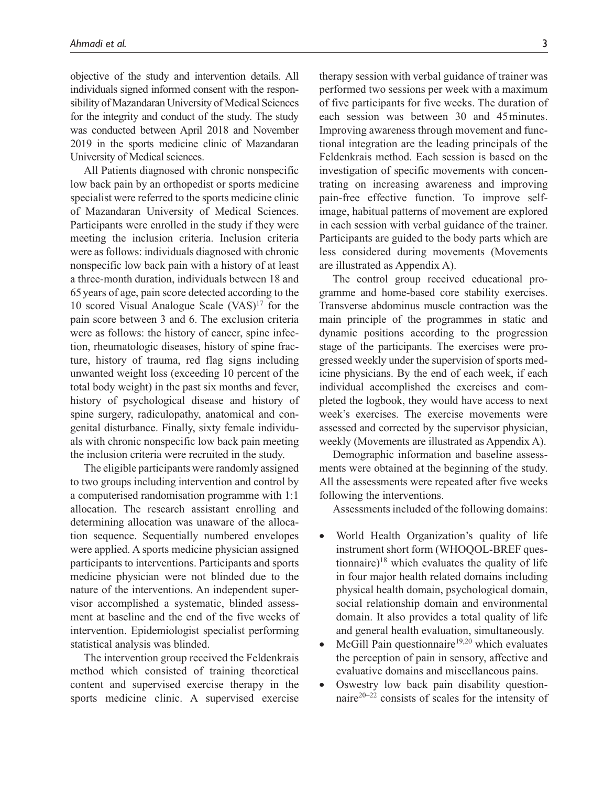objective of the study and intervention details. All individuals signed informed consent with the responsibility of Mazandaran University of Medical Sciences for the integrity and conduct of the study. The study was conducted between April 2018 and November 2019 in the sports medicine clinic of Mazandaran University of Medical sciences.

All Patients diagnosed with chronic nonspecific low back pain by an orthopedist or sports medicine specialist were referred to the sports medicine clinic of Mazandaran University of Medical Sciences. Participants were enrolled in the study if they were meeting the inclusion criteria. Inclusion criteria were as follows: individuals diagnosed with chronic nonspecific low back pain with a history of at least a three-month duration, individuals between 18 and 65years of age, pain score detected according to the 10 scored Visual Analogue Scale  $(VAS)^{17}$  for the pain score between 3 and 6. The exclusion criteria were as follows: the history of cancer, spine infection, rheumatologic diseases, history of spine fracture, history of trauma, red flag signs including unwanted weight loss (exceeding 10 percent of the total body weight) in the past six months and fever, history of psychological disease and history of spine surgery, radiculopathy, anatomical and congenital disturbance. Finally, sixty female individuals with chronic nonspecific low back pain meeting the inclusion criteria were recruited in the study.

The eligible participants were randomly assigned to two groups including intervention and control by a computerised randomisation programme with 1:1 allocation. The research assistant enrolling and determining allocation was unaware of the allocation sequence. Sequentially numbered envelopes were applied. A sports medicine physician assigned participants to interventions. Participants and sports medicine physician were not blinded due to the nature of the interventions. An independent supervisor accomplished a systematic, blinded assessment at baseline and the end of the five weeks of intervention. Epidemiologist specialist performing statistical analysis was blinded.

The intervention group received the Feldenkrais method which consisted of training theoretical content and supervised exercise therapy in the sports medicine clinic. A supervised exercise

therapy session with verbal guidance of trainer was performed two sessions per week with a maximum of five participants for five weeks. The duration of each session was between 30 and 45minutes. Improving awareness through movement and functional integration are the leading principals of the Feldenkrais method. Each session is based on the investigation of specific movements with concentrating on increasing awareness and improving pain-free effective function. To improve selfimage, habitual patterns of movement are explored in each session with verbal guidance of the trainer. Participants are guided to the body parts which are less considered during movements (Movements are illustrated as Appendix A).

The control group received educational programme and home-based core stability exercises. Transverse abdominus muscle contraction was the main principle of the programmes in static and dynamic positions according to the progression stage of the participants. The exercises were progressed weekly under the supervision of sports medicine physicians. By the end of each week, if each individual accomplished the exercises and completed the logbook, they would have access to next week's exercises. The exercise movements were assessed and corrected by the supervisor physician, weekly (Movements are illustrated as Appendix A).

Demographic information and baseline assessments were obtained at the beginning of the study. All the assessments were repeated after five weeks following the interventions.

Assessments included of the following domains:

- World Health Organization's quality of life instrument short form (WHOQOL-BREF questionnaire)<sup>18</sup> which evaluates the quality of life in four major health related domains including physical health domain, psychological domain, social relationship domain and environmental domain. It also provides a total quality of life and general health evaluation, simultaneously.
- McGill Pain questionnaire<sup>19,20</sup> which evaluates the perception of pain in sensory, affective and evaluative domains and miscellaneous pains.
- Oswestry low back pain disability questionnaire $20-22$  consists of scales for the intensity of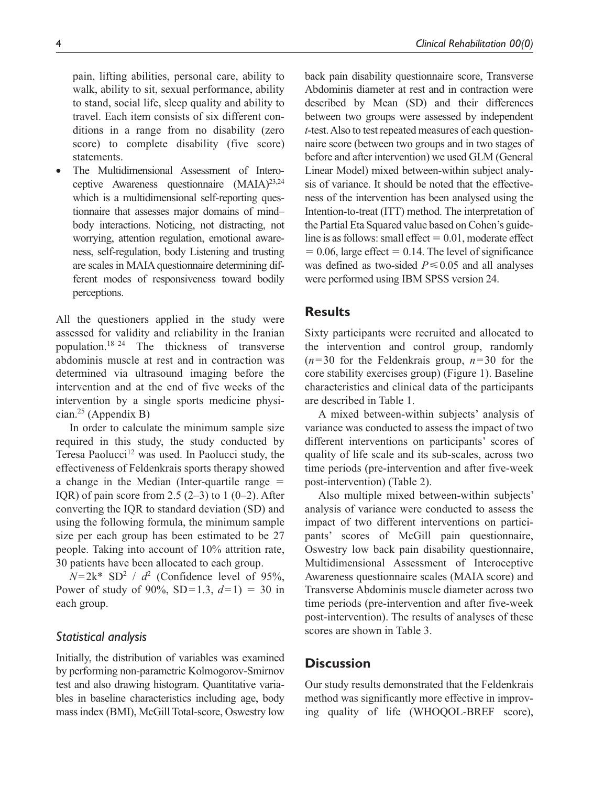statements. • The Multidimensional Assessment of Interoceptive Awareness questionnaire  $(MAIA)^{23,24}$ which is a multidimensional self-reporting questionnaire that assesses major domains of mind– body interactions. Noticing, not distracting, not worrying, attention regulation, emotional awareness, self-regulation, body Listening and trusting are scales in MAIA questionnaire determining different modes of responsiveness toward bodily perceptions.

All the questioners applied in the study were assessed for validity and reliability in the Iranian population.18–24 The thickness of transverse abdominis muscle at rest and in contraction was determined via ultrasound imaging before the intervention and at the end of five weeks of the intervention by a single sports medicine physician.<sup>25</sup> (Appendix B)

In order to calculate the minimum sample size required in this study, the study conducted by Teresa Paolucci<sup>12</sup> was used. In Paolucci study, the effectiveness of Feldenkrais sports therapy showed a change in the Median (Inter-quartile range  $=$ IQR) of pain score from 2.5  $(2-3)$  to 1  $(0-2)$ . After converting the IQR to standard deviation (SD) and using the following formula, the minimum sample size per each group has been estimated to be 27 people. Taking into account of 10% attrition rate, 30 patients have been allocated to each group.

 $N=2k^*$  SD<sup>2</sup> /  $d^2$  (Confidence level of 95%, Power of study of 90%,  $SD=1.3$ ,  $d=1$ ) = 30 in each group.

## *Statistical analysis*

Initially, the distribution of variables was examined by performing non-parametric Kolmogorov-Smirnov test and also drawing histogram. Quantitative variables in baseline characteristics including age, body mass index (BMI), McGill Total-score, Oswestry low

back pain disability questionnaire score, Transverse Abdominis diameter at rest and in contraction were described by Mean (SD) and their differences between two groups were assessed by independent *t*-test. Also to test repeated measures of each questionnaire score (between two groups and in two stages of before and after intervention) we used GLM (General Linear Model) mixed between-within subject analysis of variance. It should be noted that the effectiveness of the intervention has been analysed using the Intention-to-treat (ITT) method. The interpretation of the Partial Eta Squared value based on Cohen's guideline is as follows: small effect  $= 0.01$ , moderate effect  $= 0.06$ , large effect  $= 0.14$ . The level of significance was defined as two-sided  $P \le 0.05$  and all analyses were performed using IBM SPSS version 24.

## **Results**

Sixty participants were recruited and allocated to the intervention and control group, randomly  $(n=30)$  for the Feldenkrais group,  $n=30$  for the core stability exercises group) (Figure 1). Baseline characteristics and clinical data of the participants are described in Table 1.

A mixed between-within subjects' analysis of variance was conducted to assess the impact of two different interventions on participants' scores of quality of life scale and its sub-scales, across two time periods (pre-intervention and after five-week post-intervention) (Table 2).

Also multiple mixed between-within subjects' analysis of variance were conducted to assess the impact of two different interventions on participants' scores of McGill pain questionnaire, Oswestry low back pain disability questionnaire, Multidimensional Assessment of Interoceptive Awareness questionnaire scales (MAIA score) and Transverse Abdominis muscle diameter across two time periods (pre-intervention and after five-week post-intervention). The results of analyses of these scores are shown in Table 3.

# **Discussion**

Our study results demonstrated that the Feldenkrais method was significantly more effective in improving quality of life (WHOOOL-BREF score),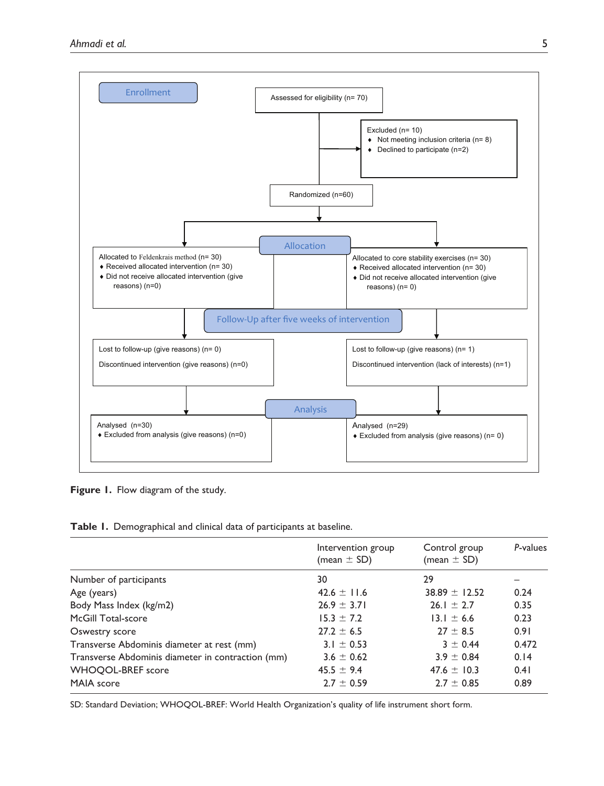

**Figure 1.** Flow diagram of the study.

**Table 1.** Demographical and clinical data of participants at baseline.

|                                                   | Intervention group<br>(mean $\pm$ SD) | Control group<br>(mean $\pm$ SD) | P-values |
|---------------------------------------------------|---------------------------------------|----------------------------------|----------|
| Number of participants                            | 30                                    | 29                               |          |
| Age (years)                                       | 42.6 $\pm$ 11.6                       | $38.89 \pm 12.52$                | 0.24     |
| Body Mass Index (kg/m2)                           | $26.9 \pm 3.71$                       | $26.1 \pm 2.7$                   | 0.35     |
| McGill Total-score                                | $15.3 \pm 7.2$                        | $13.1 \pm 6.6$                   | 0.23     |
| Oswestry score                                    | $27.2 + 6.5$                          | $27 + 8.5$                       | 0.91     |
| Transverse Abdominis diameter at rest (mm)        | 3.1 $\pm$ 0.53                        | $3 + 0.44$                       | 0.472    |
| Transverse Abdominis diameter in contraction (mm) | $3.6 \pm 0.62$                        | $3.9 \pm 0.84$                   | 0.14     |
| <b>WHOOOL-BREF</b> score                          | $45.5 \pm 9.4$                        | 47.6 $\pm$ 10.3                  | 0.41     |
| MAIA score                                        | $2.7 \pm 0.59$                        | $2.7 \pm 0.85$                   | 0.89     |

SD: Standard Deviation; WHOQOL-BREF: World Health Organization's quality of life instrument short form.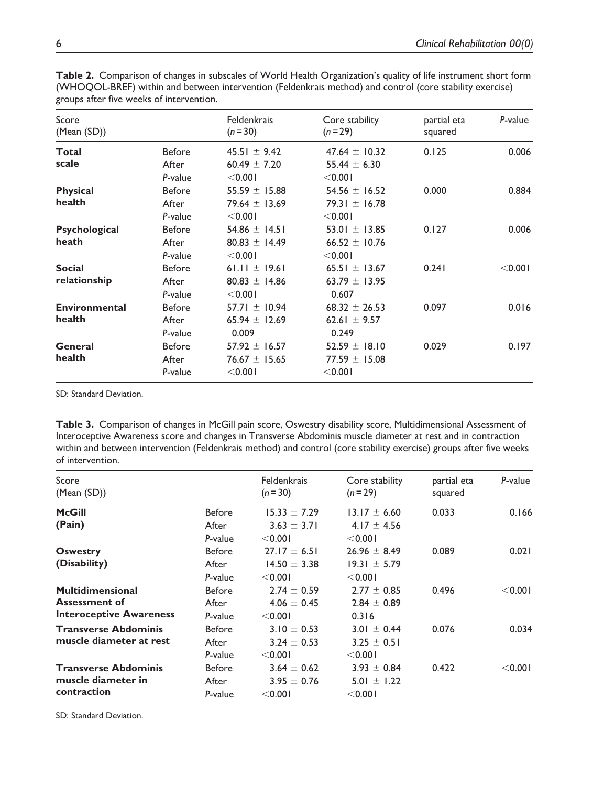| $\kappa$ . Suppose the state of the state function. |                  |                             |                               |                        |         |  |  |  |
|-----------------------------------------------------|------------------|-----------------------------|-------------------------------|------------------------|---------|--|--|--|
| Score<br>(Mean(SD))                                 |                  | Feldenkrais<br>$(n=30)$     | Core stability<br>$(n=29)$    | partial eta<br>squared | P-value |  |  |  |
| <b>Total</b>                                        | <b>Before</b>    | 45.51 $\pm$ 9.42            | 47.64 $\pm$ 10.32             | 0.125                  | 0.006   |  |  |  |
| scale                                               | After<br>P-value | 60.49 $\pm$ 7.20<br>< 0.001 | 55.44 $\pm$ 6.30<br>$<$ 0.001 |                        |         |  |  |  |
| <b>Physical</b>                                     | <b>Before</b>    | 55.59 $\pm$ 15.88           | 54.56 $\pm$ 16.52             | 0.000                  | 0.884   |  |  |  |
| health                                              | After            | 79.64 $\pm$ 13.69           | 79.31 $\pm$ 16.78             |                        |         |  |  |  |
|                                                     | P-value          | < 0.001                     | < 0.001                       |                        |         |  |  |  |
| Psychological                                       | Before           | 54.86 $\pm$ 14.51           | 53.01 $\pm$ 13.85             | 0.127                  | 0.006   |  |  |  |
| heath                                               | After            | $80.83 \pm 14.49$           | 66.52 $\pm$ 10.76             |                        |         |  |  |  |
|                                                     | P-value          | < 0.001                     | < 0.001                       |                        |         |  |  |  |
| <b>Social</b>                                       | <b>Before</b>    | 61.11 $\pm$ 19.61           | 65.51 $\pm$ 13.67             | 0.241                  | < 0.001 |  |  |  |
| relationship                                        | After            | $80.83 \pm 14.86$           | 63.79 $\pm$ 13.95             |                        |         |  |  |  |
|                                                     | P-value          | < 0.001                     | 0.607                         |                        |         |  |  |  |
| <b>Environmental</b>                                | <b>Before</b>    | 57.71 $\pm$ 10.94           | $68.32 \pm 26.53$             | 0.097                  | 0.016   |  |  |  |
| health                                              | After            | 65.94 $\pm$ 12.69           | 62.61 $\pm$ 9.57              |                        |         |  |  |  |
|                                                     | P-value          | 0.009                       | 0.249                         |                        |         |  |  |  |
| General                                             | <b>Before</b>    | 57.92 $\pm$ 16.57           | 52.59 $\pm$ 18.10             | 0.029                  | 0.197   |  |  |  |
| health                                              | After            | $76.67 \pm 15.65$           | 77.59 $\pm$ 15.08             |                        |         |  |  |  |
|                                                     | P-value          | $<$ 0.00                    | $<$ 0.001                     |                        |         |  |  |  |
|                                                     |                  |                             |                               |                        |         |  |  |  |

**Table 2.** Comparison of changes in subscales of World Health Organization's quality of life instrument short form (WHOQOL-BREF) within and between intervention (Feldenkrais method) and control (core stability exercise) groups after five weeks of intervention.

SD: Standard Deviation.

**Table 3.** Comparison of changes in McGill pain score, Oswestry disability score, Multidimensional Assessment of Interoceptive Awareness score and changes in Transverse Abdominis muscle diameter at rest and in contraction within and between intervention (Feldenkrais method) and control (core stability exercise) groups after five weeks of intervention.

| Score<br>(Mean(SD))                                                               |                                   | Feldenkrais<br>$(n=30)$                         | Core stability<br>$(n=29)$                      | partial eta<br>squared | P-value |
|-----------------------------------------------------------------------------------|-----------------------------------|-------------------------------------------------|-------------------------------------------------|------------------------|---------|
| <b>McGill</b><br>(Pain)                                                           | <b>Before</b><br>After<br>P-value | $15.33 \pm 7.29$<br>$3.63 \pm 3.71$<br>< 0.001  | $13.17 \pm 6.60$<br>$4.17 \pm 4.56$<br>< 0.001  | 0.033                  | 0.166   |
| <b>Oswestry</b><br>(Disability)                                                   | Before<br>After<br>P-value        | $27.17 \pm 6.51$<br>$14.50 \pm 3.38$<br>< 0.001 | $26.96 \pm 8.49$<br>$19.31 \pm 5.79$<br>< 0.001 | 0.089                  | 0.021   |
| <b>Multidimensional</b><br><b>Assessment of</b><br><b>Interoceptive Awareness</b> | Before<br>After<br>P-value        | $2.74 \pm 0.59$<br>$4.06 \pm 0.45$<br>< 0.001   | $2.77 \pm 0.85$<br>$2.84 \pm 0.89$<br>0.316     | 0.496                  | < 0.001 |
| <b>Transverse Abdominis</b><br>muscle diameter at rest                            | <b>Before</b><br>After<br>P-value | $3.10 \pm 0.53$<br>$3.24 \pm 0.53$<br>< 0.001   | $3.01 \pm 0.44$<br>$3.25 \pm 0.51$<br>$<$ 0.00  | 0.076                  | 0.034   |
| <b>Transverse Abdominis</b><br>muscle diameter in<br>contraction                  | <b>Before</b><br>After<br>P-value | $3.64 \pm 0.62$<br>$3.95 \pm 0.76$<br>< 0.001   | $3.93 \pm 0.84$<br>$5.01 \pm 1.22$<br>$<$ 0.001 | 0.422                  | < 0.001 |

SD: Standard Deviation.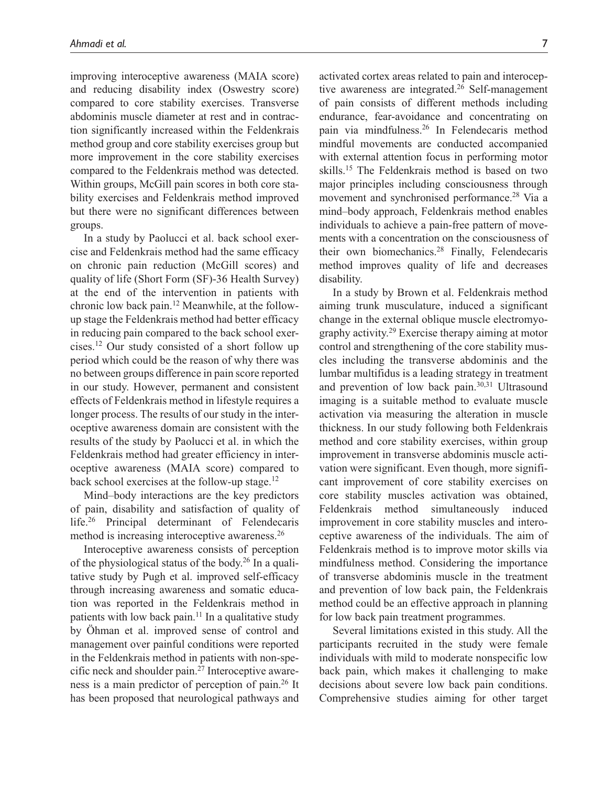improving interoceptive awareness (MAIA score) and reducing disability index (Oswestry score) compared to core stability exercises. Transverse abdominis muscle diameter at rest and in contraction significantly increased within the Feldenkrais method group and core stability exercises group but more improvement in the core stability exercises compared to the Feldenkrais method was detected. Within groups, McGill pain scores in both core stability exercises and Feldenkrais method improved but there were no significant differences between groups.

In a study by Paolucci et al. back school exercise and Feldenkrais method had the same efficacy on chronic pain reduction (McGill scores) and quality of life (Short Form (SF)-36 Health Survey) at the end of the intervention in patients with chronic low back pain.12 Meanwhile, at the followup stage the Feldenkrais method had better efficacy in reducing pain compared to the back school exercises.12 Our study consisted of a short follow up period which could be the reason of why there was no between groups difference in pain score reported in our study. However, permanent and consistent effects of Feldenkrais method in lifestyle requires a longer process. The results of our study in the interoceptive awareness domain are consistent with the results of the study by Paolucci et al. in which the Feldenkrais method had greater efficiency in interoceptive awareness (MAIA score) compared to back school exercises at the follow-up stage.<sup>12</sup>

Mind–body interactions are the key predictors of pain, disability and satisfaction of quality of life.<sup>26</sup> Principal determinant of Felendecaris method is increasing interoceptive awareness.26

Interoceptive awareness consists of perception of the physiological status of the body.<sup>26</sup> In a qualitative study by Pugh et al. improved self-efficacy through increasing awareness and somatic education was reported in the Feldenkrais method in patients with low back pain.<sup>11</sup> In a qualitative study by Öhman et al. improved sense of control and management over painful conditions were reported in the Feldenkrais method in patients with non-specific neck and shoulder pain.27 Interoceptive awareness is a main predictor of perception of pain.26 It has been proposed that neurological pathways and

activated cortex areas related to pain and interoceptive awareness are integrated.<sup>26</sup> Self-management of pain consists of different methods including endurance, fear-avoidance and concentrating on pain via mindfulness.26 In Felendecaris method mindful movements are conducted accompanied with external attention focus in performing motor skills.<sup>15</sup> The Feldenkrais method is based on two major principles including consciousness through movement and synchronised performance.<sup>28</sup> Via a mind–body approach, Feldenkrais method enables individuals to achieve a pain-free pattern of movements with a concentration on the consciousness of their own biomechanics.28 Finally, Felendecaris method improves quality of life and decreases disability.

In a study by Brown et al. Feldenkrais method aiming trunk musculature, induced a significant change in the external oblique muscle electromyography activity.29 Exercise therapy aiming at motor control and strengthening of the core stability muscles including the transverse abdominis and the lumbar multifidus is a leading strategy in treatment and prevention of low back pain.30,31 Ultrasound imaging is a suitable method to evaluate muscle activation via measuring the alteration in muscle thickness. In our study following both Feldenkrais method and core stability exercises, within group improvement in transverse abdominis muscle activation were significant. Even though, more significant improvement of core stability exercises on core stability muscles activation was obtained, Feldenkrais method simultaneously induced improvement in core stability muscles and interoceptive awareness of the individuals. The aim of Feldenkrais method is to improve motor skills via mindfulness method. Considering the importance of transverse abdominis muscle in the treatment and prevention of low back pain, the Feldenkrais method could be an effective approach in planning for low back pain treatment programmes.

Several limitations existed in this study. All the participants recruited in the study were female individuals with mild to moderate nonspecific low back pain, which makes it challenging to make decisions about severe low back pain conditions. Comprehensive studies aiming for other target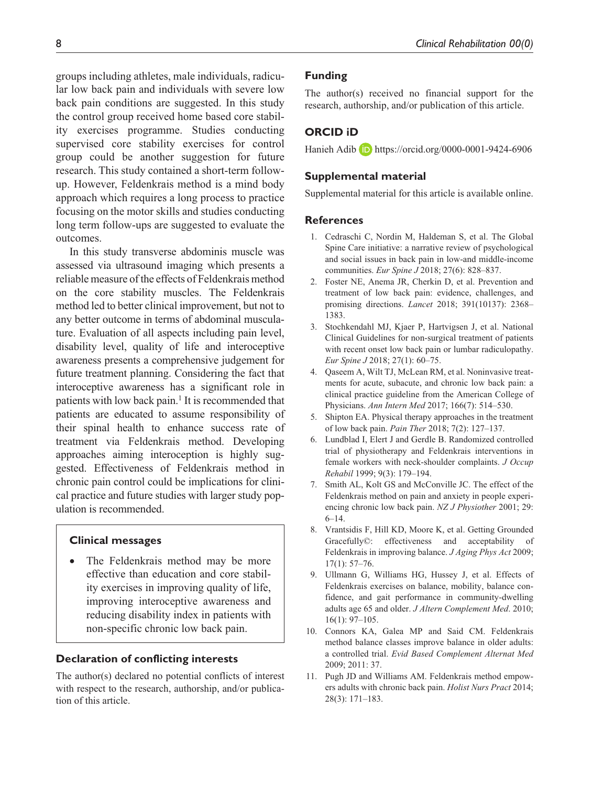groups including athletes, male individuals, radicular low back pain and individuals with severe low back pain conditions are suggested. In this study the control group received home based core stability exercises programme. Studies conducting supervised core stability exercises for control group could be another suggestion for future research. This study contained a short-term followup. However, Feldenkrais method is a mind body approach which requires a long process to practice focusing on the motor skills and studies conducting long term follow-ups are suggested to evaluate the outcomes.

In this study transverse abdominis muscle was assessed via ultrasound imaging which presents a reliable measure of the effects of Feldenkrais method on the core stability muscles. The Feldenkrais method led to better clinical improvement, but not to any better outcome in terms of abdominal musculature. Evaluation of all aspects including pain level, disability level, quality of life and interoceptive awareness presents a comprehensive judgement for future treatment planning. Considering the fact that interoceptive awareness has a significant role in patients with low back pain.<sup>1</sup> It is recommended that patients are educated to assume responsibility of their spinal health to enhance success rate of treatment via Feldenkrais method. Developing approaches aiming interoception is highly suggested. Effectiveness of Feldenkrais method in chronic pain control could be implications for clinical practice and future studies with larger study population is recommended.

#### **Clinical messages**

The Feldenkrais method may be more effective than education and core stability exercises in improving quality of life, improving interoceptive awareness and reducing disability index in patients with non-specific chronic low back pain.

#### **Declaration of conflicting interests**

The author(s) declared no potential conflicts of interest with respect to the research, authorship, and/or publication of this article.

#### **Funding**

The author(s) received no financial support for the research, authorship, and/or publication of this article.

## **ORCID iD**

Hanieh Adib <https://orcid.org/0000-0001-9424-6906>

### **Supplemental material**

Supplemental material for this article is available online.

## **References**

- 1. Cedraschi C, Nordin M, Haldeman S, et al. The Global Spine Care initiative: a narrative review of psychological and social issues in back pain in low-and middle-income communities. *Eur Spine J* 2018; 27(6): 828–837.
- 2. Foster NE, Anema JR, Cherkin D, et al. Prevention and treatment of low back pain: evidence, challenges, and promising directions. *Lancet* 2018; 391(10137): 2368– 1383.
- 3. Stochkendahl MJ, Kjaer P, Hartvigsen J, et al. National Clinical Guidelines for non-surgical treatment of patients with recent onset low back pain or lumbar radiculopathy. *Eur Spine J* 2018; 27(1): 60–75.
- 4. Qaseem A, Wilt TJ, McLean RM, et al. Noninvasive treatments for acute, subacute, and chronic low back pain: a clinical practice guideline from the American College of Physicians. *Ann Intern Med* 2017; 166(7): 514–530.
- 5. Shipton EA. Physical therapy approaches in the treatment of low back pain. *Pain Ther* 2018; 7(2): 127–137.
- 6. Lundblad I, Elert J and Gerdle B. Randomized controlled trial of physiotherapy and Feldenkrais interventions in female workers with neck-shoulder complaints. *J Occup Rehabil* 1999; 9(3): 179–194.
- 7. Smith AL, Kolt GS and McConville JC. The effect of the Feldenkrais method on pain and anxiety in people experiencing chronic low back pain. *NZ J Physiother* 2001; 29: 6–14.
- 8. Vrantsidis F, Hill KD, Moore K, et al. Getting Grounded Gracefully©: effectiveness and acceptability of Feldenkrais in improving balance. *J Aging Phys Act* 2009; 17(1): 57–76.
- 9. Ullmann G, Williams HG, Hussey J, et al. Effects of Feldenkrais exercises on balance, mobility, balance confidence, and gait performance in community-dwelling adults age 65 and older. *J Altern Complement Med*. 2010; 16(1): 97–105.
- 10. Connors KA, Galea MP and Said CM. Feldenkrais method balance classes improve balance in older adults: a controlled trial. *Evid Based Complement Alternat Med* 2009; 2011: 37.
- 11. Pugh JD and Williams AM. Feldenkrais method empowers adults with chronic back pain. *Holist Nurs Pract* 2014; 28(3): 171–183.